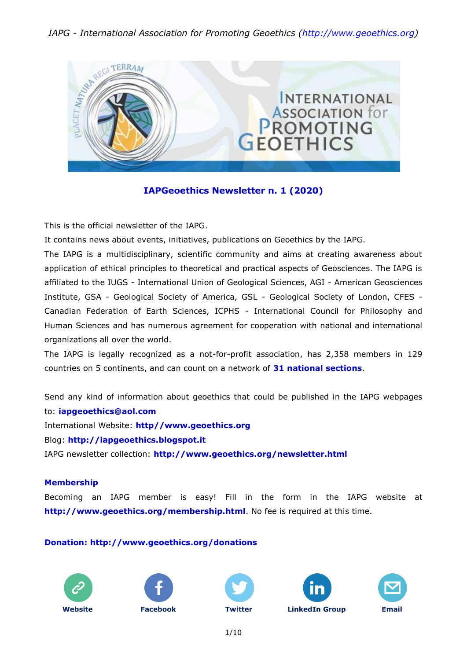### *IAPG - International Association for Promoting Geoethics (http://www.geoethics.org)*



### **IAPGeoethics Newsletter n. 1 (2020)**

This is the official newsletter of the IAPG.

It contains news about events, initiatives, publications on Geoethics by the IAPG.

The IAPG is a multidisciplinary, scientific community and aims at creating awareness about application of ethical principles to theoretical and practical aspects of Geosciences. The IAPG is affiliated to the IUGS - International Union of Geological Sciences, AGI - American Geosciences Institute, GSA - Geological Society of America, GSL - Geological Society of London, CFES - Canadian Federation of Earth Sciences, ICPHS - International Council for Philosophy and Human Sciences and has numerous agreement for cooperation with national and international organizations all over the world.

The IAPG is legally recognized as a not-for-profit association, has 2,358 members in 129 countries on 5 continents, and can count on a network of **31 national [sections](http://www.geoethics.org/sections.html)**.

Send any kind of information about geoethics that could be published in the IAPG webpages to: **[iapgeoethics@aol.com](mailto:iapgeoethics@aol.com?subject=IAPG%20newsletter)** International Website: **[http//www.geoethics.org](http://www.geoethics.org/)** Blog: **[http://iapgeoethics.blogspot.it](http://iapgeoethics.blogspot.it/)**

IAPG newsletter collection: **<http://www.geoethics.org/newsletter.html>**

#### **Membership**

Becoming an IAPG member is easy! Fill in the form in the IAPG website at **<http://www.geoethics.org/membership.html>**. No fee is required at this time.

#### **[Donation: http://www.geoethics.org/donations](http://www.geoethics.org/donations)**











1/10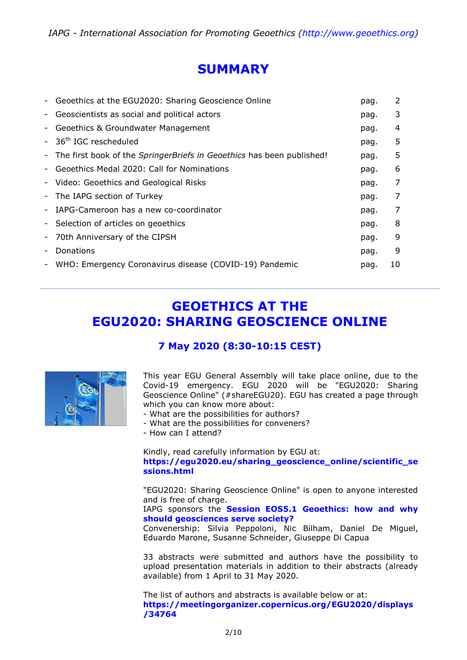# **SUMMARY**

| $\overline{\phantom{a}}$ | Geoethics at the EGU2020: Sharing Geoscience Online                            | pag. | 2  |
|--------------------------|--------------------------------------------------------------------------------|------|----|
| -                        | Geoscientists as social and political actors                                   | pag. | 3  |
| -                        | Geoethics & Groundwater Management                                             | pag. | 4  |
|                          | - 36 <sup>th</sup> IGC rescheduled                                             | pag. | 5  |
|                          | - The first book of the <i>SpringerBriefs in Geoethics</i> has been published! | pag. | 5  |
| ۰                        | Geoethics Medal 2020: Call for Nominations                                     | pag. | 6  |
|                          | - Video: Geoethics and Geological Risks                                        | pag. | 7  |
| -                        | The IAPG section of Turkey                                                     | pag. | 7  |
| $\overline{\phantom{a}}$ | IAPG-Cameroon has a new co-coordinator                                         | pag. | 7  |
|                          | - Selection of articles on geoethics                                           | pag. | 8  |
| $\overline{\phantom{a}}$ | 70th Anniversary of the CIPSH                                                  | pag. | 9  |
| $\overline{\phantom{a}}$ | Donations                                                                      | pag. | 9  |
| $\overline{\phantom{a}}$ | WHO: Emergency Coronavirus disease (COVID-19) Pandemic                         | pag. | 10 |
|                          |                                                                                |      |    |

# **GEOETHICS AT THE EGU2020: SHARING GEOSCIENCE ONLINE**

### **7 May 2020 (8:30-10:15 CEST)**



This year EGU General Assembly will take place online, due to the Covid-19 emergency. EGU 2020 will be "EGU2020: Sharing Geoscience Online" (#shareEGU20). EGU has created a page through which you can know more about:

- What are the possibilities for authors?
- What are the possibilities for conveners?
- How can I attend?

Kindly, read carefully information by EGU at: **[https://egu2020.eu/sharing\\_geoscience\\_online/scientific\\_se](https://egu2020.eu/sharing_geoscience_online/scientific_sessions.html) [ssions.html](https://egu2020.eu/sharing_geoscience_online/scientific_sessions.html)**

"EGU2020: Sharing Geoscience Online" is open to anyone interested and is free of charge.

IAPG sponsors the **Session EOS5.1 [Geoethics: how and why](http://www.geoethics.org/egu2020)  [should geosciences serve society?](http://www.geoethics.org/egu2020)**

Convenership: Silvia Peppoloni, Nic Bilham, Daniel De Miguel, Eduardo Marone, Susanne Schneider, Giuseppe Di Capua

33 abstracts were submitted and authors have the possibility to upload presentation materials in addition to their abstracts (already available) from 1 April to 31 May 2020.

The list of authors and abstracts is available below or at: **[https://meetingorganizer.copernicus.org/EGU2020/displays](https://meetingorganizer.copernicus.org/EGU2020/displays/34764) [/34764](https://meetingorganizer.copernicus.org/EGU2020/displays/34764)**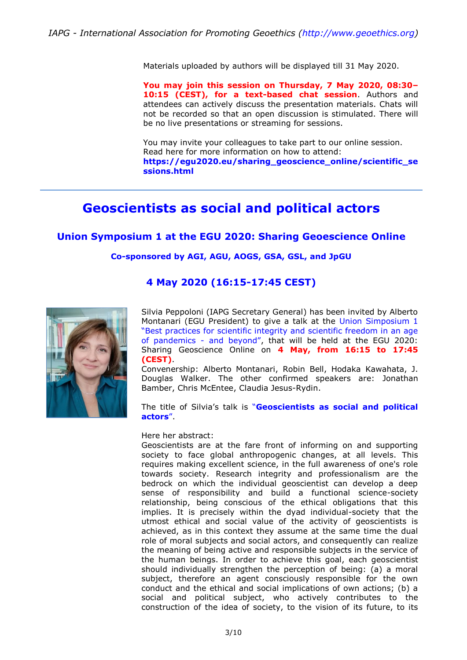Materials uploaded by authors will be displayed till 31 May 2020.

**You may join this session on Thursday, 7 May 2020, 08:30– 10:15 (CEST), for a text-based chat session**. Authors and attendees can actively discuss the presentation materials. Chats will not be recorded so that an open discussion is stimulated. There will be no live presentations or streaming for sessions.

You may invite your colleagues to take part to our online session. Read here for more information on how to attend: **[https://egu2020.eu/sharing\\_geoscience\\_online/scientific\\_se](https://egu2020.eu/sharing_geoscience_online/scientific_sessions.html) [ssions.html](https://egu2020.eu/sharing_geoscience_online/scientific_sessions.html)**

## **Geoscientists as social and political actors**

#### **Union Symposium 1 at the EGU 2020: Sharing Geoescience Online**

#### **Co-sponsored by AGI, AGU, AOGS, GSA, GSL, and JpGU**

#### **4 May 2020 (16:15-17:45 CEST)**



Silvia Peppoloni (IAPG Secretary General) has been invited by Alberto Montanari (EGU President) to give a talk at the [Union Simposium 1](https://meetingorganizer.copernicus.org/EGU2020/orals/34690) ["Best practices for scientific integrity and scientific freedom in an age](https://meetingorganizer.copernicus.org/EGU2020/orals/34690)  [of pandemics -](https://meetingorganizer.copernicus.org/EGU2020/orals/34690) and beyond", that will be held at the EGU 2020: Sharing Geoscience Online on **4 May, from 16:15 to 17:45 (CEST)**.

Convenership: Alberto Montanari, Robin Bell, Hodaka Kawahata, J. Douglas Walker. The other confirmed speakers are: Jonathan Bamber, Chris McEntee, Claudia Jesus-Rydin.

The title of Silvia's talk is "**[Geoscientists as social and political](https://meetingorganizer.copernicus.org/EGU2020/orals/34690)  [actors](https://meetingorganizer.copernicus.org/EGU2020/orals/34690)**".

#### Here her abstract:

Geoscientists are at the fare front of informing on and supporting society to face global anthropogenic changes, at all levels. This requires making excellent science, in the full awareness of one's role towards society. Research integrity and professionalism are the bedrock on which the individual geoscientist can develop a deep sense of responsibility and build a functional science-society relationship, being conscious of the ethical obligations that this implies. It is precisely within the dyad individual-society that the utmost ethical and social value of the activity of geoscientists is achieved, as in this context they assume at the same time the dual role of moral subjects and social actors, and consequently can realize the meaning of being active and responsible subjects in the service of the human beings. In order to achieve this goal, each geoscientist should individually strengthen the perception of being: (a) a moral subject, therefore an agent consciously responsible for the own conduct and the ethical and social implications of own actions; (b) a social and political subject, who actively contributes to the construction of the idea of society, to the vision of its future, to its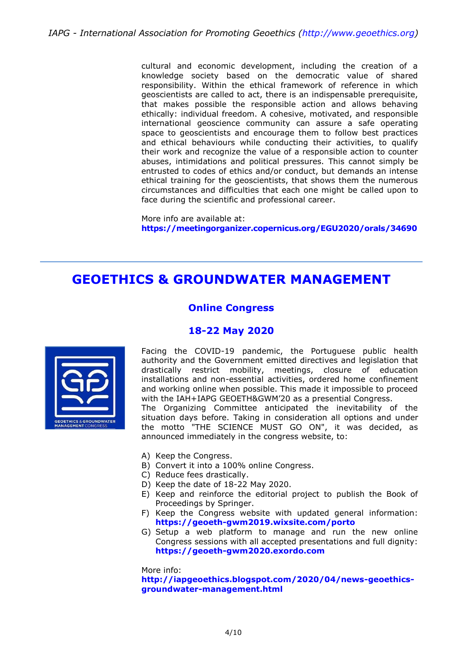cultural and economic development, including the creation of a knowledge society based on the democratic value of shared responsibility. Within the ethical framework of reference in which geoscientists are called to act, there is an indispensable prerequisite, that makes possible the responsible action and allows behaving ethically: individual freedom. A cohesive, motivated, and responsible international geoscience community can assure a safe operating space to geoscientists and encourage them to follow best practices and ethical behaviours while conducting their activities, to qualify their work and recognize the value of a responsible action to counter abuses, intimidations and political pressures. This cannot simply be entrusted to codes of ethics and/or conduct, but demands an intense ethical training for the geoscientists, that shows them the numerous circumstances and difficulties that each one might be called upon to face during the scientific and professional career.

More info are available at: **<https://meetingorganizer.copernicus.org/EGU2020/orals/34690>**

## **GEOETHICS & GROUNDWATER MANAGEMENT**

### **Online Congress**

### **18-22 May 2020**



Facing the COVID-19 pandemic, the Portuguese public health authority and the Government emitted directives and legislation that drastically restrict mobility, meetings, closure of education installations and non-essential activities, ordered home confinement and working online when possible. This made it impossible to proceed with the IAH+IAPG GEOETH&GWM'20 as a presential Congress. The Organizing Committee anticipated the inevitability of the situation days before. Taking in consideration all options and under the motto "THE SCIENCE MUST GO ON", it was decided, as announced immediately in the congress website, to:

- A) Keep the Congress.
- B) Convert it into a 100% online Congress.
- C) Reduce fees drastically.
- D) Keep the date of 18-22 May 2020.
- E) Keep and reinforce the editorial project to publish the Book of Proceedings by Springer.
- F) Keep the Congress website with updated general information: **<https://geoeth-gwm2019.wixsite.com/porto>**
- G) Setup a web platform to manage and run the new online Congress sessions with all accepted presentations and full dignity: **[https://geoeth-gwm2020.exordo.com](https://geoeth-gwm2020.exordo.com/)**

More info:

**[http://iapgeoethics.blogspot.com/2020/04/news-geoethics](http://iapgeoethics.blogspot.com/2020/04/news-geoethics-groundwater-management.html)[groundwater-management.html](http://iapgeoethics.blogspot.com/2020/04/news-geoethics-groundwater-management.html)**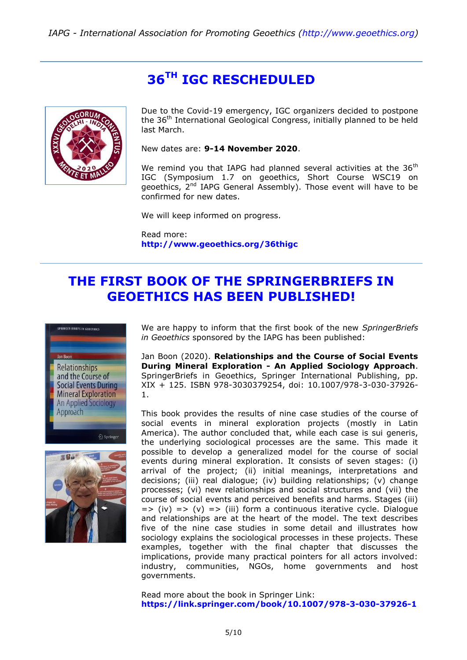# **36TH IGC RESCHEDULED**



Due to the Covid-19 emergency, IGC organizers decided to postpone the 36<sup>th</sup> International Geological Congress, initially planned to be held last March.

New dates are: **9-14 November 2020**.

We remind you that IAPG had planned several activities at the  $36<sup>th</sup>$ IGC (Symposium 1.7 on geoethics, Short Course WSC19 on geoethics, 2<sup>nd</sup> IAPG General Assembly). Those event will have to be confirmed for new dates.

We will keep informed on progress.

Read more: **<http://www.geoethics.org/36thigc>**

# **THE FIRST BOOK OF THE SPRINGERBRIEFS IN GEOETHICS HAS BEEN PUBLISHED!**





We are happy to inform that the first book of the new *SpringerBriefs in Geoethics* sponsored by the IAPG has been published:

Jan Boon (2020). **Relationships and the Course of Social Events During Mineral Exploration - An Applied Sociology Approach**. SpringerBriefs in Geoethics, Springer International Publishing, pp. XIX + 125. ISBN 978-3030379254, doi: 10.1007/978-3-030-37926- 1.

This book provides the results of nine case studies of the course of social events in mineral exploration projects (mostly in Latin America). The author concluded that, while each case is sui generis, the underlying sociological processes are the same. This made it possible to develop a generalized model for the course of social events during mineral exploration. It consists of seven stages: (i) arrival of the project; (ii) initial meanings, interpretations and decisions; (iii) real dialogue; (iv) building relationships; (v) change processes; (vi) new relationships and social structures and (vii) the course of social events and perceived benefits and harms. Stages (iii)  $=$   $\Rightarrow$  (iv)  $=$   $\Rightarrow$  (iii) form a continuous iterative cycle. Dialogue and relationships are at the heart of the model. The text describes five of the nine case studies in some detail and illustrates how sociology explains the sociological processes in these projects. These examples, together with the final chapter that discusses the implications, provide many practical pointers for all actors involved: industry, communities, NGOs, home governments and host governments.

Read more about the book in Springer Link: **<https://link.springer.com/book/10.1007/978-3-030-37926-1>**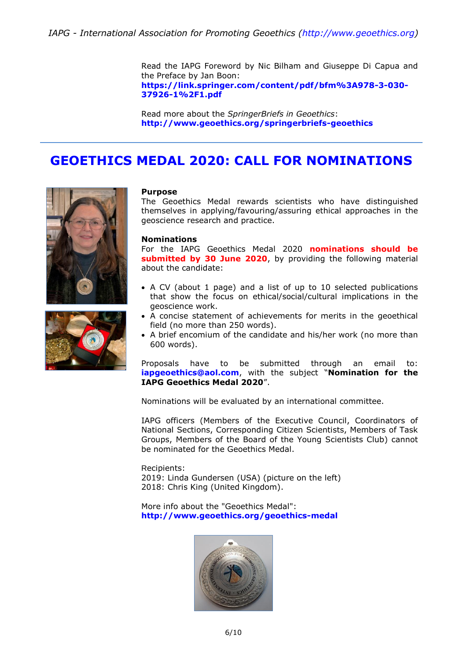Read the IAPG Foreword by Nic Bilham and Giuseppe Di Capua and the Preface by Jan Boon: **[https://link.springer.com/content/pdf/bfm%3A978-3-030-](https://link.springer.com/content/pdf/bfm%3A978-3-030-37926-1%2F1.pdf) [37926-1%2F1.pdf](https://link.springer.com/content/pdf/bfm%3A978-3-030-37926-1%2F1.pdf)**

Read more about the *SpringerBriefs in Geoethics*: **<http://www.geoethics.org/springerbriefs-geoethics>**

## **GEOETHICS MEDAL 2020: CALL FOR NOMINATIONS**





#### **Purpose**

The Geoethics Medal rewards scientists who have distinguished themselves in applying/favouring/assuring ethical approaches in the geoscience research and practice.

#### **Nominations**

For the IAPG Geoethics Medal 2020 **nominations should be submitted by 30 June 2020**, by providing the following material about the candidate:

- A CV (about 1 page) and a list of up to 10 selected publications that show the focus on ethical/social/cultural implications in the geoscience work.
- A concise statement of achievements for merits in the geoethical field (no more than 250 words).
- A brief encomium of the candidate and his/her work (no more than 600 words).

Proposals have to be submitted through an email to: **[iapgeoethics@aol.com](mailto:iapgeoethics@aol.com?subject=Nomination%20for%20the%20IAPG%20Geoethics%20Medal%202020)**, with the subject "**Nomination for the IAPG Geoethics Medal 2020**".

Nominations will be evaluated by an international committee.

IAPG officers (Members of the Executive Council, Coordinators of National Sections, Corresponding Citizen Scientists, Members of Task Groups, Members of the Board of the Young Scientists Club) cannot be nominated for the Geoethics Medal.

#### Recipients:

2019: Linda Gundersen (USA) (picture on the left) 2018: Chris King (United Kingdom).

More info about the "Geoethics Medal": **<http://www.geoethics.org/geoethics-medal>**

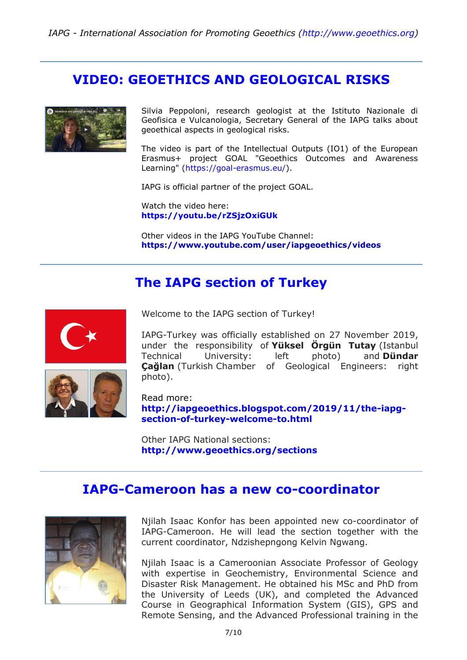## **VIDEO: GEOETHICS AND GEOLOGICAL RISKS**



Silvia Peppoloni, research geologist at the Istituto Nazionale di Geofisica e Vulcanologia, Secretary General of the IAPG talks about geoethical aspects in geological risks.

The video is part of the Intellectual Outputs (IO1) of the European Erasmus+ project GOAL "Geoethics Outcomes and Awareness Learning" [\(https://goal-erasmus.eu/\)](https://goal-erasmus.eu/).

IAPG is official partner of the project GOAL.

Watch the video here: **<https://youtu.be/rZSjzOxiGUk>**

Other videos in the IAPG YouTube Channel: **https://www.youtube.com/user/iapgeoethics/videos**

## **The IAPG section of Turkey**





Welcome to the IAPG section of Turkey!

IAPG-Turkey was officially established on 27 November 2019, under the responsibility of **Yüksel Örgün Tutay** (Istanbul Technical University: left photo) and **Dündar Çağlan** (Turkish Chamber of Geological Engineers: right photo).

Read more: **[http://iapgeoethics.blogspot.com/2019/11/the-iapg](http://iapgeoethics.blogspot.com/2019/11/the-iapg-section-of-turkey-welcome-to.html)[section-of-turkey-welcome-to.html](http://iapgeoethics.blogspot.com/2019/11/the-iapg-section-of-turkey-welcome-to.html)**

Other IAPG National sections: **<http://www.geoethics.org/sections>**

### **IAPG-Cameroon has a new co-coordinator**



Njilah Isaac Konfor has been appointed new co-coordinator of IAPG-Cameroon. He will lead the section together with the current coordinator, Ndzishepngong Kelvin Ngwang.

Njilah Isaac is a Cameroonian Associate Professor of Geology with expertise in Geochemistry, Environmental Science and Disaster Risk Management. He obtained his MSc and PhD from the University of Leeds (UK), and completed the Advanced Course in Geographical Information System (GIS), GPS and Remote Sensing, and the Advanced Professional training in the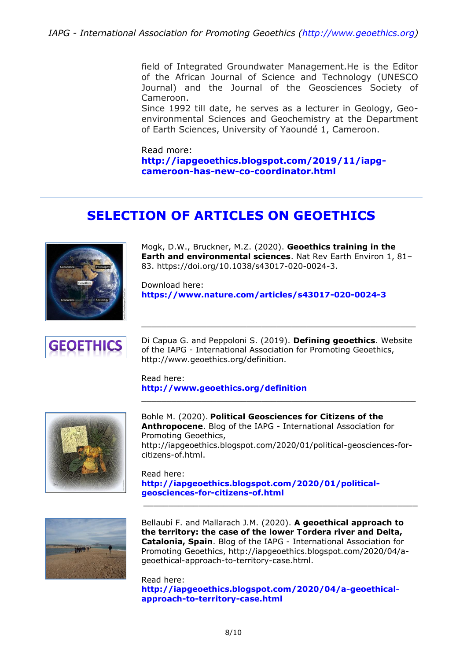field of Integrated Groundwater Management.He is the Editor of the African Journal of Science and Technology (UNESCO Journal) and the Journal of the Geosciences Society of Cameroon.

Since 1992 till date, he serves as a lecturer in Geology, Geoenvironmental Sciences and Geochemistry at the Department of Earth Sciences, University of Yaoundé 1, Cameroon.

Read more: **[http://iapgeoethics.blogspot.com/2019/11/iapg](http://iapgeoethics.blogspot.com/2019/11/iapg-cameroon-has-new-co-coordinator.html)[cameroon-has-new-co-coordinator.html](http://iapgeoethics.blogspot.com/2019/11/iapg-cameroon-has-new-co-coordinator.html)**

# **SELECTION OF ARTICLES ON GEOETHICS**



Mogk, D.W., Bruckner, M.Z. (2020). **Geoethics training in the Earth and environmental sciences**. Nat Rev Earth Environ 1, 81– 83. https://doi.org/10.1038/s43017-020-0024-3.

Download here: **<https://www.nature.com/articles/s43017-020-0024-3>**



Di Capua G. and Peppoloni S. (2019). **Defining geoethics**. Website of the IAPG - International Association for Promoting Geoethics, http://www.geoethics.org/definition.

\_\_\_\_\_\_\_\_\_\_\_\_\_\_\_\_\_\_\_\_\_\_\_\_\_\_\_\_\_\_\_\_\_\_\_\_\_\_\_\_\_\_\_\_\_\_\_\_\_\_\_\_\_\_\_

Read here: **<http://www.geoethics.org/definition>**



Bohle M. (2020). **Political Geosciences for Citizens of the Anthropocene**. Blog of the IAPG - International Association for Promoting Geoethics, http://iapgeoethics.blogspot.com/2020/01/political-geosciences-forcitizens-of.html.

\_\_\_\_\_\_\_\_\_\_\_\_\_\_\_\_\_\_\_\_\_\_\_\_\_\_\_\_\_\_\_\_\_\_\_\_\_\_\_\_\_\_\_\_\_\_\_\_\_\_\_\_\_\_\_

Read here: **[http://iapgeoethics.blogspot.com/2020/01/political](http://iapgeoethics.blogspot.com/2020/01/political-geosciences-for-citizens-of.html)[geosciences-for-citizens-of.html](http://iapgeoethics.blogspot.com/2020/01/political-geosciences-for-citizens-of.html)**



Bellaubí F. and Mallarach J.M. (2020). **A geoethical approach to the territory: the case of the lower Tordera river and Delta, Catalonia, Spain**. Blog of the IAPG - International Association for Promoting Geoethics, http://iapgeoethics.blogspot.com/2020/04/ageoethical-approach-to-territory-case.html.

\_\_\_\_\_\_\_\_\_\_\_\_\_\_\_\_\_\_\_\_\_\_\_\_\_\_\_\_\_\_\_\_\_\_\_\_\_\_\_\_\_\_\_\_\_\_\_\_\_\_\_\_\_\_\_

Read here: **[http://iapgeoethics.blogspot.com/2020/04/a-geoethical](http://iapgeoethics.blogspot.com/2020/04/a-geoethical-approach-to-territory-case.html)[approach-to-territory-case.html](http://iapgeoethics.blogspot.com/2020/04/a-geoethical-approach-to-territory-case.html)**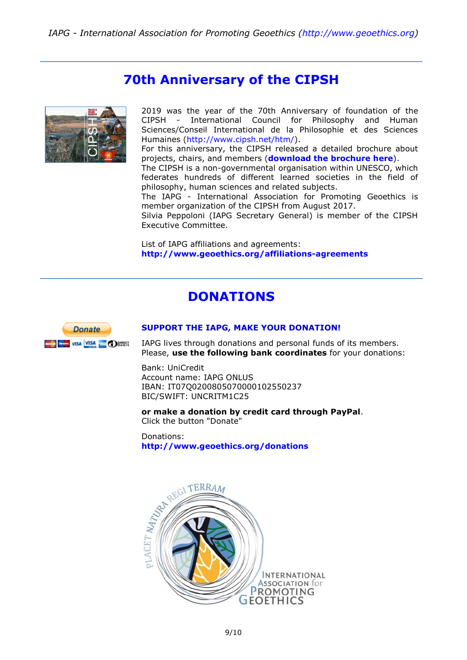## **70th Anniversary of the CIPSH**



2019 was the year of the 70th Anniversary of foundation of the CIPSH - International Council for Philosophy and Human Sciences/Conseil International de la Philosophie et des Sciences Humaines [\(http://www.cipsh.net/htm/\)](http://www.cipsh.net/htm/).

For this anniversary, the CIPSH released a detailed brochure about projects, chairs, and members (**[download the brochure here](https://f420cbad-ec08-4c39-902f-b0e5afecb44a.filesusr.com/ugd/5195a5_bbbfbec62b7d4cd5b9f163e43d561160.pdf?index=true)**).

The CIPSH is a non-governmental organisation within UNESCO, which federates hundreds of different learned societies in the field of philosophy, human sciences and related subjects.

The IAPG - International Association for Promoting Geoethics is member organization of the CIPSH from August 2017.

Silvia Peppoloni (IAPG Secretary General) is member of the CIPSH Executive Committee.

List of IAPG affiliations and agreements: **<http://www.geoethics.org/affiliations-agreements>**

## **DONATIONS**



#### **[SUPPORT THE IAPG, MAKE YOUR DONATION!](http://www.geoethics.org/donations)**

IAPG lives through donations and personal funds of its members. Please, **use the following bank coordinates** for your donations:

Bank: UniCredit Account name: IAPG ONLUS IBAN: IT07Q0200805070000102550237 BIC/SWIFT: UNCRITM1C25

**or make a donation by credit card through PayPal**. Click the button "Donate"

Donations: **<http://www.geoethics.org/donations>**